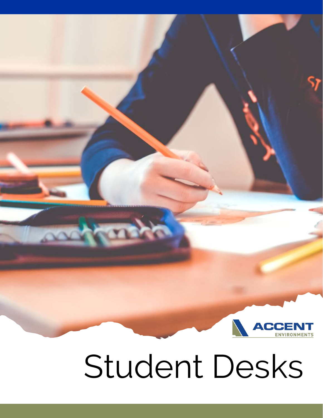

## Student Desks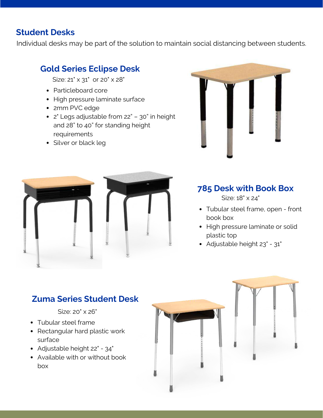#### **Student Desks**

Individual desks may be part of the solution to maintain social distancing between students.

#### **Gold Series Eclipse Desk**

Size: 21" x 31" or 20" x 28"

- Particleboard core
- High pressure laminate surface
- 2mm PVC edge
- 2" Legs adjustable from 22" 30" in height and 28" to 40" for standing height requirements
- Silver or black leg





#### **785 Desk with Book Box**

Size: 18" x 24"

- Tubular steel frame, open front book box
- High pressure laminate or solid plastic top
- Adjustable height 23" 31"

#### **Zuma Series Student Desk**

#### Size: 20" x 26"

- Tubular steel frame
- Rectangular hard plastic work surface
- Adjustable height 22" 34"
- Available with or without book box

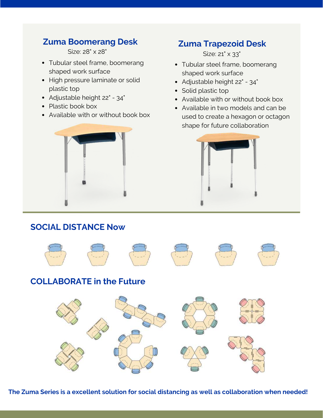### **Zuma Boomerang Desk Zuma Trapezoid Desk**

Size: 28" x 28"

- Tubular steel frame, boomerang shaped work surface
- High pressure laminate or solid plastic top
- Adjustable height 22" 34"
- Plastic book box
- Available with or without book box



Size: 21" × 33"

- Tubular steel frame, boomerang shaped work surface
- Adjustable height 22" 34"
- Solid plastic top
- Available with or without book box
- Available in two models and can be used to create a hexagon or octagon shape for future collaboration



#### **SOCIAL DISTANCE Now**



#### **COLLABORATE in the Future**



**The Zuma Series is a excellent solution for social distancing as well as collaboration when needed!**